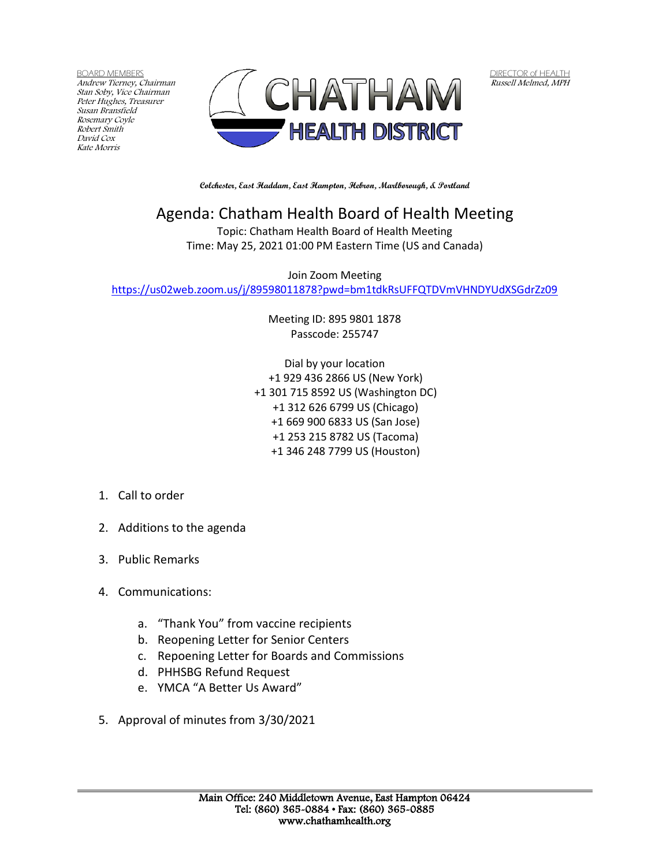BOARD MEMBERS Andrew Tierney, Chairman Stan Soby, Vice Chairman Peter Hughes, Treasurer Susan Bransfield Rosemary Coyle Robert Smith David Cox Kate Morris



DIRECTOR of HEALTH Russell Melmed, MPH

**Colchester, East Haddam, East Hampton, Hebron, Marlborough, & Portland**

## Agenda: Chatham Health Board of Health Meeting

Topic: Chatham Health Board of Health Meeting Time: May 25, 2021 01:00 PM Eastern Time (US and Canada)

Join Zoom Meeting <https://us02web.zoom.us/j/89598011878?pwd=bm1tdkRsUFFQTDVmVHNDYUdXSGdrZz09>

> Meeting ID: 895 9801 1878 Passcode: 255747

Dial by your location +1 929 436 2866 US (New York) +1 301 715 8592 US (Washington DC) +1 312 626 6799 US (Chicago) +1 669 900 6833 US (San Jose) +1 253 215 8782 US (Tacoma) +1 346 248 7799 US (Houston)

## 1. Call to order

- 2. Additions to the agenda
- 3. Public Remarks
- 4. Communications:
	- a. "Thank You" from vaccine recipients
	- b. Reopening Letter for Senior Centers
	- c. Repoening Letter for Boards and Commissions
	- d. PHHSBG Refund Request
	- e. YMCA "A Better Us Award"
- 5. Approval of minutes from 3/30/2021